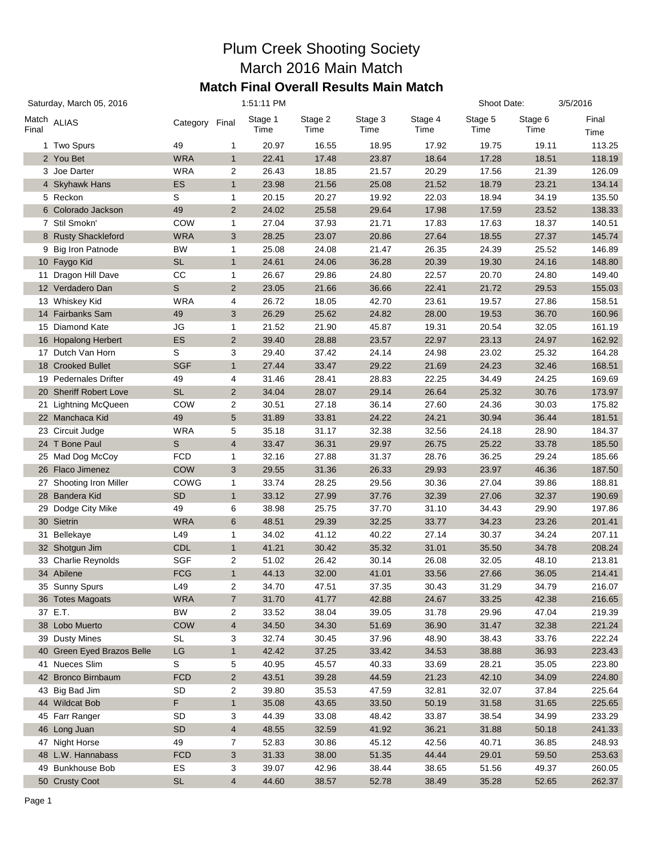## Plum Creek Shooting Society March 2016 Main Match **Match Final Overall Results Main Match**

| Stage 4<br>Stage 5<br>Stage 1<br>Stage 2<br>Stage 3<br>Stage 6<br>Final<br>Match ALIAS<br>Category Final<br>Time<br>Time<br>Time<br>Time<br>Time<br>Time<br>Time<br>113.25<br>49<br>20.97<br>16.55<br>18.95<br>17.92<br>19.75<br>19.11<br>1 Two Spurs<br>1<br>2 You Bet<br><b>WRA</b><br>$\mathbf{1}$<br>22.41<br>17.48<br>23.87<br>18.64<br>17.28<br>18.51<br>118.19<br>3 Joe Darter<br>WRA<br>2<br>26.43<br>18.85<br>21.57<br>20.29<br>17.56<br>21.39<br>126.09<br>4 Skyhawk Hans<br>ES<br>$\mathbf{1}$<br>23.98<br>21.56<br>25.08<br>21.52<br>18.79<br>23.21<br>134.14<br>5 Reckon<br>S<br>20.15<br>20.27<br>19.92<br>22.03<br>18.94<br>34.19<br>135.50<br>1<br>6 Colorado Jackson<br>49<br>$\overline{2}$<br>24.02<br>25.58<br>29.64<br>17.98<br>17.59<br>23.52<br>138.33<br>7 Stil Smokn'<br>COW<br>27.04<br>37.93<br>21.71<br>17.83<br>18.37<br>140.51<br>1<br>17.63<br>8 Rusty Shackleford<br><b>WRA</b><br>3<br>28.25<br>23.07<br>20.86<br>27.64<br>18.55<br>27.37<br>145.74<br>9 Big Iron Patnode<br>BW<br>$\mathbf{1}$<br>25.08<br>24.08<br>21.47<br>26.35<br>24.39<br>25.52<br>146.89<br>10 Faygo Kid<br><b>SL</b><br>$\mathbf{1}$<br>24.61<br>24.06<br>36.28<br>20.39<br>19.30<br>24.16<br>148.80<br>Dragon Hill Dave<br>CC<br>1<br>26.67<br>29.86<br>24.80<br>22.57<br>20.70<br>24.80<br>149.40<br>11<br>S<br>12 Verdadero Dan<br>$\overline{2}$<br>23.05<br>21.66<br>36.66<br>22.41<br>21.72<br>29.53<br>155.03<br>13 Whiskey Kid<br><b>WRA</b><br>4<br>26.72<br>18.05<br>42.70<br>23.61<br>19.57<br>27.86<br>158.51<br>14 Fairbanks Sam<br>49<br>3<br>26.29<br>25.62<br>24.82<br>28.00<br>19.53<br>36.70<br>160.96<br>15 Diamond Kate<br>JG<br>1<br>21.52<br>21.90<br>45.87<br>19.31<br>20.54<br>32.05<br>161.19<br>16 Hopalong Herbert<br>ES<br>$\overline{2}$<br>39.40<br>28.88<br>23.57<br>22.97<br>23.13<br>24.97<br>162.92<br>17 Dutch Van Horn<br>S<br>3<br>29.40<br>37.42<br>24.14<br>24.98<br>23.02<br>25.32<br>164.28<br>18 Crooked Bullet<br><b>SGF</b><br>$\mathbf{1}$<br>27.44<br>33.47<br>29.22<br>21.69<br>24.23<br>32.46<br>168.51<br>19 Pedernales Drifter<br>49<br>4<br>31.46<br>28.41<br>28.83<br>22.25<br>34.49<br>24.25<br>169.69<br><b>SL</b><br>30.76<br>20 Sheriff Robert Love<br>$\overline{2}$<br>34.04<br>28.07<br>29.14<br>26.64<br>25.32<br>173.97<br>21 Lightning McQueen<br><b>COW</b><br>2<br>30.51<br>27.18<br>36.14<br>27.60<br>24.36<br>30.03<br>175.82<br>$5\,$<br>22 Manchaca Kid<br>49<br>31.89<br>33.81<br>24.22<br>24.21<br>30.94<br>36.44<br>181.51<br>23 Circuit Judge<br>WRA<br>5<br>35.18<br>31.17<br>32.38<br>32.56<br>24.18<br>28.90<br>184.37<br>S<br>24 T Bone Paul<br>4<br>33.47<br>36.31<br>29.97<br>26.75<br>25.22<br>33.78<br>185.50<br>25 Mad Dog McCoy<br>FCD<br>32.16<br>27.88<br>31.37<br>28.76<br>36.25<br>29.24<br>185.66<br>1<br>26 Flaco Jimenez<br><b>COW</b><br>3<br>29.55<br>31.36<br>26.33<br>29.93<br>23.97<br>46.36<br>187.50<br>27 Shooting Iron Miller<br>COWG<br>33.74<br>28.25<br>29.56<br>30.36<br>27.04<br>39.86<br>188.81<br>1<br>28 Bandera Kid<br><b>SD</b><br>$\mathbf{1}$<br>33.12<br>27.99<br>37.76<br>32.39<br>27.06<br>32.37<br>190.69<br>Dodge City Mike<br>49<br>6<br>38.98<br>25.75<br>37.70<br>31.10<br>34.43<br>29.90<br>197.86<br>29<br>30 Sietrin<br><b>WRA</b><br>6<br>48.51<br>29.39<br>32.25<br>33.77<br>34.23<br>23.26<br>201.41<br>31 Bellekaye<br>L49<br>$\mathbf{1}$<br>34.02<br>41.12<br>40.22<br>27.14<br>30.37<br>34.24<br>207.11<br>32 Shotgun Jim<br><b>CDL</b><br>$\mathbf{1}$<br>41.21<br>30.42<br>35.32<br>31.01<br>35.50<br>34.78<br>208.24<br>33 Charlie Reynolds<br><b>SGF</b><br>2<br>51.02<br>26.42<br>30.14<br>26.08<br>32.05<br>48.10<br>213.81<br>34 Abilene<br>$\mathbf{1}$<br><b>FCG</b><br>44.13<br>32.00<br>41.01<br>33.56<br>27.66<br>36.05<br>214.41<br>35 Sunny Spurs<br>L49<br>34.70<br>47.51<br>37.35<br>30.43<br>34.79<br>216.07<br>2<br>31.29<br>$\overline{7}$<br>41.77<br>42.88<br>33.25<br>42.38<br>216.65<br>36 Totes Magoats<br><b>WRA</b><br>31.70<br>24.67<br>37 E.T.<br><b>BW</b><br>39.05<br>47.04<br>219.39<br>2<br>33.52<br>38.04<br>31.78<br>29.96<br>38 Lobo Muerto<br><b>COW</b><br>$\overline{\mathbf{4}}$<br>34.50<br>34.30<br>51.69<br>36.90<br>31.47<br>221.24<br>32.38<br>39 Dusty Mines<br>3<br>222.24<br>SL<br>32.74<br>30.45<br>37.96<br>48.90<br>38.43<br>33.76<br>40 Green Eyed Brazos Belle<br>LG<br>$\mathbf{1}$<br>42.42<br>37.25<br>33.42<br>34.53<br>223.43<br>38.88<br>36.93<br>41 Nueces Slim<br>S<br>5<br>40.95<br>45.57<br>40.33<br>33.69<br>28.21<br>35.05<br>223.80<br>42 Bronco Birnbaum<br><b>FCD</b><br>$\overline{\mathbf{c}}$<br>39.28<br>44.59<br>21.23<br>42.10<br>34.09<br>224.80<br>43.51<br>2<br>43 Big Bad Jim<br>SD<br>39.80<br>35.53<br>47.59<br>32.81<br>32.07<br>37.84<br>225.64<br>F<br>$\mathbf{1}$<br>33.50<br>50.19<br>31.58<br>31.65<br>225.65<br>44 Wildcat Bob<br>35.08<br>43.65<br>3<br>45 Farr Ranger<br><b>SD</b><br>44.39<br>33.08<br>48.42<br>33.87<br>38.54<br>34.99<br>233.29<br>46 Long Juan<br>SD<br>$\overline{\mathbf{4}}$<br>32.59<br>41.92<br>36.21<br>31.88<br>50.18<br>241.33<br>48.55<br>248.93<br>47 Night Horse<br>49<br>7<br>52.83<br>30.86<br>45.12<br>42.56<br>40.71<br>36.85<br>48 L.W. Hannabass<br><b>FCD</b><br>38.00<br>51.35<br>44.44<br>29.01<br>253.63<br>3<br>31.33<br>59.50<br>49 Bunkhouse Bob<br>ES<br>3<br>39.07<br>38.44<br>260.05<br>42.96<br>38.65<br>51.56<br>49.37<br>50 Crusty Coot | Saturday, March 05, 2016 |  | 1:51:11 PM |                |       |       |       |       | Shoot Date: |       | 3/5/2016 |
|-----------------------------------------------------------------------------------------------------------------------------------------------------------------------------------------------------------------------------------------------------------------------------------------------------------------------------------------------------------------------------------------------------------------------------------------------------------------------------------------------------------------------------------------------------------------------------------------------------------------------------------------------------------------------------------------------------------------------------------------------------------------------------------------------------------------------------------------------------------------------------------------------------------------------------------------------------------------------------------------------------------------------------------------------------------------------------------------------------------------------------------------------------------------------------------------------------------------------------------------------------------------------------------------------------------------------------------------------------------------------------------------------------------------------------------------------------------------------------------------------------------------------------------------------------------------------------------------------------------------------------------------------------------------------------------------------------------------------------------------------------------------------------------------------------------------------------------------------------------------------------------------------------------------------------------------------------------------------------------------------------------------------------------------------------------------------------------------------------------------------------------------------------------------------------------------------------------------------------------------------------------------------------------------------------------------------------------------------------------------------------------------------------------------------------------------------------------------------------------------------------------------------------------------------------------------------------------------------------------------------------------------------------------------------------------------------------------------------------------------------------------------------------------------------------------------------------------------------------------------------------------------------------------------------------------------------------------------------------------------------------------------------------------------------------------------------------------------------------------------------------------------------------------------------------------------------------------------------------------------------------------------------------------------------------------------------------------------------------------------------------------------------------------------------------------------------------------------------------------------------------------------------------------------------------------------------------------------------------------------------------------------------------------------------------------------------------------------------------------------------------------------------------------------------------------------------------------------------------------------------------------------------------------------------------------------------------------------------------------------------------------------------------------------------------------------------------------------------------------------------------------------------------------------------------------------------------------------------------------------------------------------------------------------------------------------------------------------------------------------------------------------------------------------------------------------------------------------------------------------------------------------------------------------------------------------------------------------------------------------------------------------------------------------------------------------------------------------------------------------------------------------------------------------------------------------------------------------------------------------------------------------------------------------------------------------------------------------------------------------------------------------------------------------------------------------------------------------------------------------------------------------------------------------------------------------------------------------------------------------------------------------------------------------------------------------------------------------------------------------------------------------------------------------------------|--------------------------|--|------------|----------------|-------|-------|-------|-------|-------------|-------|----------|
|                                                                                                                                                                                                                                                                                                                                                                                                                                                                                                                                                                                                                                                                                                                                                                                                                                                                                                                                                                                                                                                                                                                                                                                                                                                                                                                                                                                                                                                                                                                                                                                                                                                                                                                                                                                                                                                                                                                                                                                                                                                                                                                                                                                                                                                                                                                                                                                                                                                                                                                                                                                                                                                                                                                                                                                                                                                                                                                                                                                                                                                                                                                                                                                                                                                                                                                                                                                                                                                                                                                                                                                                                                                                                                                                                                                                                                                                                                                                                                                                                                                                                                                                                                                                                                                                                                                                                                                                                                                                                                                                                                                                                                                                                                                                                                                                                                                                                                                                                                                                                                                                                                                                                                                                                                                                                                                                                                                                                             | Final                    |  |            |                |       |       |       |       |             |       |          |
|                                                                                                                                                                                                                                                                                                                                                                                                                                                                                                                                                                                                                                                                                                                                                                                                                                                                                                                                                                                                                                                                                                                                                                                                                                                                                                                                                                                                                                                                                                                                                                                                                                                                                                                                                                                                                                                                                                                                                                                                                                                                                                                                                                                                                                                                                                                                                                                                                                                                                                                                                                                                                                                                                                                                                                                                                                                                                                                                                                                                                                                                                                                                                                                                                                                                                                                                                                                                                                                                                                                                                                                                                                                                                                                                                                                                                                                                                                                                                                                                                                                                                                                                                                                                                                                                                                                                                                                                                                                                                                                                                                                                                                                                                                                                                                                                                                                                                                                                                                                                                                                                                                                                                                                                                                                                                                                                                                                                                             |                          |  |            |                |       |       |       |       |             |       |          |
|                                                                                                                                                                                                                                                                                                                                                                                                                                                                                                                                                                                                                                                                                                                                                                                                                                                                                                                                                                                                                                                                                                                                                                                                                                                                                                                                                                                                                                                                                                                                                                                                                                                                                                                                                                                                                                                                                                                                                                                                                                                                                                                                                                                                                                                                                                                                                                                                                                                                                                                                                                                                                                                                                                                                                                                                                                                                                                                                                                                                                                                                                                                                                                                                                                                                                                                                                                                                                                                                                                                                                                                                                                                                                                                                                                                                                                                                                                                                                                                                                                                                                                                                                                                                                                                                                                                                                                                                                                                                                                                                                                                                                                                                                                                                                                                                                                                                                                                                                                                                                                                                                                                                                                                                                                                                                                                                                                                                                             |                          |  |            |                |       |       |       |       |             |       |          |
|                                                                                                                                                                                                                                                                                                                                                                                                                                                                                                                                                                                                                                                                                                                                                                                                                                                                                                                                                                                                                                                                                                                                                                                                                                                                                                                                                                                                                                                                                                                                                                                                                                                                                                                                                                                                                                                                                                                                                                                                                                                                                                                                                                                                                                                                                                                                                                                                                                                                                                                                                                                                                                                                                                                                                                                                                                                                                                                                                                                                                                                                                                                                                                                                                                                                                                                                                                                                                                                                                                                                                                                                                                                                                                                                                                                                                                                                                                                                                                                                                                                                                                                                                                                                                                                                                                                                                                                                                                                                                                                                                                                                                                                                                                                                                                                                                                                                                                                                                                                                                                                                                                                                                                                                                                                                                                                                                                                                                             |                          |  |            |                |       |       |       |       |             |       |          |
|                                                                                                                                                                                                                                                                                                                                                                                                                                                                                                                                                                                                                                                                                                                                                                                                                                                                                                                                                                                                                                                                                                                                                                                                                                                                                                                                                                                                                                                                                                                                                                                                                                                                                                                                                                                                                                                                                                                                                                                                                                                                                                                                                                                                                                                                                                                                                                                                                                                                                                                                                                                                                                                                                                                                                                                                                                                                                                                                                                                                                                                                                                                                                                                                                                                                                                                                                                                                                                                                                                                                                                                                                                                                                                                                                                                                                                                                                                                                                                                                                                                                                                                                                                                                                                                                                                                                                                                                                                                                                                                                                                                                                                                                                                                                                                                                                                                                                                                                                                                                                                                                                                                                                                                                                                                                                                                                                                                                                             |                          |  |            |                |       |       |       |       |             |       |          |
|                                                                                                                                                                                                                                                                                                                                                                                                                                                                                                                                                                                                                                                                                                                                                                                                                                                                                                                                                                                                                                                                                                                                                                                                                                                                                                                                                                                                                                                                                                                                                                                                                                                                                                                                                                                                                                                                                                                                                                                                                                                                                                                                                                                                                                                                                                                                                                                                                                                                                                                                                                                                                                                                                                                                                                                                                                                                                                                                                                                                                                                                                                                                                                                                                                                                                                                                                                                                                                                                                                                                                                                                                                                                                                                                                                                                                                                                                                                                                                                                                                                                                                                                                                                                                                                                                                                                                                                                                                                                                                                                                                                                                                                                                                                                                                                                                                                                                                                                                                                                                                                                                                                                                                                                                                                                                                                                                                                                                             |                          |  |            |                |       |       |       |       |             |       |          |
|                                                                                                                                                                                                                                                                                                                                                                                                                                                                                                                                                                                                                                                                                                                                                                                                                                                                                                                                                                                                                                                                                                                                                                                                                                                                                                                                                                                                                                                                                                                                                                                                                                                                                                                                                                                                                                                                                                                                                                                                                                                                                                                                                                                                                                                                                                                                                                                                                                                                                                                                                                                                                                                                                                                                                                                                                                                                                                                                                                                                                                                                                                                                                                                                                                                                                                                                                                                                                                                                                                                                                                                                                                                                                                                                                                                                                                                                                                                                                                                                                                                                                                                                                                                                                                                                                                                                                                                                                                                                                                                                                                                                                                                                                                                                                                                                                                                                                                                                                                                                                                                                                                                                                                                                                                                                                                                                                                                                                             |                          |  |            |                |       |       |       |       |             |       |          |
|                                                                                                                                                                                                                                                                                                                                                                                                                                                                                                                                                                                                                                                                                                                                                                                                                                                                                                                                                                                                                                                                                                                                                                                                                                                                                                                                                                                                                                                                                                                                                                                                                                                                                                                                                                                                                                                                                                                                                                                                                                                                                                                                                                                                                                                                                                                                                                                                                                                                                                                                                                                                                                                                                                                                                                                                                                                                                                                                                                                                                                                                                                                                                                                                                                                                                                                                                                                                                                                                                                                                                                                                                                                                                                                                                                                                                                                                                                                                                                                                                                                                                                                                                                                                                                                                                                                                                                                                                                                                                                                                                                                                                                                                                                                                                                                                                                                                                                                                                                                                                                                                                                                                                                                                                                                                                                                                                                                                                             |                          |  |            |                |       |       |       |       |             |       |          |
|                                                                                                                                                                                                                                                                                                                                                                                                                                                                                                                                                                                                                                                                                                                                                                                                                                                                                                                                                                                                                                                                                                                                                                                                                                                                                                                                                                                                                                                                                                                                                                                                                                                                                                                                                                                                                                                                                                                                                                                                                                                                                                                                                                                                                                                                                                                                                                                                                                                                                                                                                                                                                                                                                                                                                                                                                                                                                                                                                                                                                                                                                                                                                                                                                                                                                                                                                                                                                                                                                                                                                                                                                                                                                                                                                                                                                                                                                                                                                                                                                                                                                                                                                                                                                                                                                                                                                                                                                                                                                                                                                                                                                                                                                                                                                                                                                                                                                                                                                                                                                                                                                                                                                                                                                                                                                                                                                                                                                             |                          |  |            |                |       |       |       |       |             |       |          |
|                                                                                                                                                                                                                                                                                                                                                                                                                                                                                                                                                                                                                                                                                                                                                                                                                                                                                                                                                                                                                                                                                                                                                                                                                                                                                                                                                                                                                                                                                                                                                                                                                                                                                                                                                                                                                                                                                                                                                                                                                                                                                                                                                                                                                                                                                                                                                                                                                                                                                                                                                                                                                                                                                                                                                                                                                                                                                                                                                                                                                                                                                                                                                                                                                                                                                                                                                                                                                                                                                                                                                                                                                                                                                                                                                                                                                                                                                                                                                                                                                                                                                                                                                                                                                                                                                                                                                                                                                                                                                                                                                                                                                                                                                                                                                                                                                                                                                                                                                                                                                                                                                                                                                                                                                                                                                                                                                                                                                             |                          |  |            |                |       |       |       |       |             |       |          |
|                                                                                                                                                                                                                                                                                                                                                                                                                                                                                                                                                                                                                                                                                                                                                                                                                                                                                                                                                                                                                                                                                                                                                                                                                                                                                                                                                                                                                                                                                                                                                                                                                                                                                                                                                                                                                                                                                                                                                                                                                                                                                                                                                                                                                                                                                                                                                                                                                                                                                                                                                                                                                                                                                                                                                                                                                                                                                                                                                                                                                                                                                                                                                                                                                                                                                                                                                                                                                                                                                                                                                                                                                                                                                                                                                                                                                                                                                                                                                                                                                                                                                                                                                                                                                                                                                                                                                                                                                                                                                                                                                                                                                                                                                                                                                                                                                                                                                                                                                                                                                                                                                                                                                                                                                                                                                                                                                                                                                             |                          |  |            |                |       |       |       |       |             |       |          |
|                                                                                                                                                                                                                                                                                                                                                                                                                                                                                                                                                                                                                                                                                                                                                                                                                                                                                                                                                                                                                                                                                                                                                                                                                                                                                                                                                                                                                                                                                                                                                                                                                                                                                                                                                                                                                                                                                                                                                                                                                                                                                                                                                                                                                                                                                                                                                                                                                                                                                                                                                                                                                                                                                                                                                                                                                                                                                                                                                                                                                                                                                                                                                                                                                                                                                                                                                                                                                                                                                                                                                                                                                                                                                                                                                                                                                                                                                                                                                                                                                                                                                                                                                                                                                                                                                                                                                                                                                                                                                                                                                                                                                                                                                                                                                                                                                                                                                                                                                                                                                                                                                                                                                                                                                                                                                                                                                                                                                             |                          |  |            |                |       |       |       |       |             |       |          |
|                                                                                                                                                                                                                                                                                                                                                                                                                                                                                                                                                                                                                                                                                                                                                                                                                                                                                                                                                                                                                                                                                                                                                                                                                                                                                                                                                                                                                                                                                                                                                                                                                                                                                                                                                                                                                                                                                                                                                                                                                                                                                                                                                                                                                                                                                                                                                                                                                                                                                                                                                                                                                                                                                                                                                                                                                                                                                                                                                                                                                                                                                                                                                                                                                                                                                                                                                                                                                                                                                                                                                                                                                                                                                                                                                                                                                                                                                                                                                                                                                                                                                                                                                                                                                                                                                                                                                                                                                                                                                                                                                                                                                                                                                                                                                                                                                                                                                                                                                                                                                                                                                                                                                                                                                                                                                                                                                                                                                             |                          |  |            |                |       |       |       |       |             |       |          |
|                                                                                                                                                                                                                                                                                                                                                                                                                                                                                                                                                                                                                                                                                                                                                                                                                                                                                                                                                                                                                                                                                                                                                                                                                                                                                                                                                                                                                                                                                                                                                                                                                                                                                                                                                                                                                                                                                                                                                                                                                                                                                                                                                                                                                                                                                                                                                                                                                                                                                                                                                                                                                                                                                                                                                                                                                                                                                                                                                                                                                                                                                                                                                                                                                                                                                                                                                                                                                                                                                                                                                                                                                                                                                                                                                                                                                                                                                                                                                                                                                                                                                                                                                                                                                                                                                                                                                                                                                                                                                                                                                                                                                                                                                                                                                                                                                                                                                                                                                                                                                                                                                                                                                                                                                                                                                                                                                                                                                             |                          |  |            |                |       |       |       |       |             |       |          |
|                                                                                                                                                                                                                                                                                                                                                                                                                                                                                                                                                                                                                                                                                                                                                                                                                                                                                                                                                                                                                                                                                                                                                                                                                                                                                                                                                                                                                                                                                                                                                                                                                                                                                                                                                                                                                                                                                                                                                                                                                                                                                                                                                                                                                                                                                                                                                                                                                                                                                                                                                                                                                                                                                                                                                                                                                                                                                                                                                                                                                                                                                                                                                                                                                                                                                                                                                                                                                                                                                                                                                                                                                                                                                                                                                                                                                                                                                                                                                                                                                                                                                                                                                                                                                                                                                                                                                                                                                                                                                                                                                                                                                                                                                                                                                                                                                                                                                                                                                                                                                                                                                                                                                                                                                                                                                                                                                                                                                             |                          |  |            |                |       |       |       |       |             |       |          |
|                                                                                                                                                                                                                                                                                                                                                                                                                                                                                                                                                                                                                                                                                                                                                                                                                                                                                                                                                                                                                                                                                                                                                                                                                                                                                                                                                                                                                                                                                                                                                                                                                                                                                                                                                                                                                                                                                                                                                                                                                                                                                                                                                                                                                                                                                                                                                                                                                                                                                                                                                                                                                                                                                                                                                                                                                                                                                                                                                                                                                                                                                                                                                                                                                                                                                                                                                                                                                                                                                                                                                                                                                                                                                                                                                                                                                                                                                                                                                                                                                                                                                                                                                                                                                                                                                                                                                                                                                                                                                                                                                                                                                                                                                                                                                                                                                                                                                                                                                                                                                                                                                                                                                                                                                                                                                                                                                                                                                             |                          |  |            |                |       |       |       |       |             |       |          |
|                                                                                                                                                                                                                                                                                                                                                                                                                                                                                                                                                                                                                                                                                                                                                                                                                                                                                                                                                                                                                                                                                                                                                                                                                                                                                                                                                                                                                                                                                                                                                                                                                                                                                                                                                                                                                                                                                                                                                                                                                                                                                                                                                                                                                                                                                                                                                                                                                                                                                                                                                                                                                                                                                                                                                                                                                                                                                                                                                                                                                                                                                                                                                                                                                                                                                                                                                                                                                                                                                                                                                                                                                                                                                                                                                                                                                                                                                                                                                                                                                                                                                                                                                                                                                                                                                                                                                                                                                                                                                                                                                                                                                                                                                                                                                                                                                                                                                                                                                                                                                                                                                                                                                                                                                                                                                                                                                                                                                             |                          |  |            |                |       |       |       |       |             |       |          |
|                                                                                                                                                                                                                                                                                                                                                                                                                                                                                                                                                                                                                                                                                                                                                                                                                                                                                                                                                                                                                                                                                                                                                                                                                                                                                                                                                                                                                                                                                                                                                                                                                                                                                                                                                                                                                                                                                                                                                                                                                                                                                                                                                                                                                                                                                                                                                                                                                                                                                                                                                                                                                                                                                                                                                                                                                                                                                                                                                                                                                                                                                                                                                                                                                                                                                                                                                                                                                                                                                                                                                                                                                                                                                                                                                                                                                                                                                                                                                                                                                                                                                                                                                                                                                                                                                                                                                                                                                                                                                                                                                                                                                                                                                                                                                                                                                                                                                                                                                                                                                                                                                                                                                                                                                                                                                                                                                                                                                             |                          |  |            |                |       |       |       |       |             |       |          |
|                                                                                                                                                                                                                                                                                                                                                                                                                                                                                                                                                                                                                                                                                                                                                                                                                                                                                                                                                                                                                                                                                                                                                                                                                                                                                                                                                                                                                                                                                                                                                                                                                                                                                                                                                                                                                                                                                                                                                                                                                                                                                                                                                                                                                                                                                                                                                                                                                                                                                                                                                                                                                                                                                                                                                                                                                                                                                                                                                                                                                                                                                                                                                                                                                                                                                                                                                                                                                                                                                                                                                                                                                                                                                                                                                                                                                                                                                                                                                                                                                                                                                                                                                                                                                                                                                                                                                                                                                                                                                                                                                                                                                                                                                                                                                                                                                                                                                                                                                                                                                                                                                                                                                                                                                                                                                                                                                                                                                             |                          |  |            |                |       |       |       |       |             |       |          |
|                                                                                                                                                                                                                                                                                                                                                                                                                                                                                                                                                                                                                                                                                                                                                                                                                                                                                                                                                                                                                                                                                                                                                                                                                                                                                                                                                                                                                                                                                                                                                                                                                                                                                                                                                                                                                                                                                                                                                                                                                                                                                                                                                                                                                                                                                                                                                                                                                                                                                                                                                                                                                                                                                                                                                                                                                                                                                                                                                                                                                                                                                                                                                                                                                                                                                                                                                                                                                                                                                                                                                                                                                                                                                                                                                                                                                                                                                                                                                                                                                                                                                                                                                                                                                                                                                                                                                                                                                                                                                                                                                                                                                                                                                                                                                                                                                                                                                                                                                                                                                                                                                                                                                                                                                                                                                                                                                                                                                             |                          |  |            |                |       |       |       |       |             |       |          |
|                                                                                                                                                                                                                                                                                                                                                                                                                                                                                                                                                                                                                                                                                                                                                                                                                                                                                                                                                                                                                                                                                                                                                                                                                                                                                                                                                                                                                                                                                                                                                                                                                                                                                                                                                                                                                                                                                                                                                                                                                                                                                                                                                                                                                                                                                                                                                                                                                                                                                                                                                                                                                                                                                                                                                                                                                                                                                                                                                                                                                                                                                                                                                                                                                                                                                                                                                                                                                                                                                                                                                                                                                                                                                                                                                                                                                                                                                                                                                                                                                                                                                                                                                                                                                                                                                                                                                                                                                                                                                                                                                                                                                                                                                                                                                                                                                                                                                                                                                                                                                                                                                                                                                                                                                                                                                                                                                                                                                             |                          |  |            |                |       |       |       |       |             |       |          |
|                                                                                                                                                                                                                                                                                                                                                                                                                                                                                                                                                                                                                                                                                                                                                                                                                                                                                                                                                                                                                                                                                                                                                                                                                                                                                                                                                                                                                                                                                                                                                                                                                                                                                                                                                                                                                                                                                                                                                                                                                                                                                                                                                                                                                                                                                                                                                                                                                                                                                                                                                                                                                                                                                                                                                                                                                                                                                                                                                                                                                                                                                                                                                                                                                                                                                                                                                                                                                                                                                                                                                                                                                                                                                                                                                                                                                                                                                                                                                                                                                                                                                                                                                                                                                                                                                                                                                                                                                                                                                                                                                                                                                                                                                                                                                                                                                                                                                                                                                                                                                                                                                                                                                                                                                                                                                                                                                                                                                             |                          |  |            |                |       |       |       |       |             |       |          |
|                                                                                                                                                                                                                                                                                                                                                                                                                                                                                                                                                                                                                                                                                                                                                                                                                                                                                                                                                                                                                                                                                                                                                                                                                                                                                                                                                                                                                                                                                                                                                                                                                                                                                                                                                                                                                                                                                                                                                                                                                                                                                                                                                                                                                                                                                                                                                                                                                                                                                                                                                                                                                                                                                                                                                                                                                                                                                                                                                                                                                                                                                                                                                                                                                                                                                                                                                                                                                                                                                                                                                                                                                                                                                                                                                                                                                                                                                                                                                                                                                                                                                                                                                                                                                                                                                                                                                                                                                                                                                                                                                                                                                                                                                                                                                                                                                                                                                                                                                                                                                                                                                                                                                                                                                                                                                                                                                                                                                             |                          |  |            |                |       |       |       |       |             |       |          |
|                                                                                                                                                                                                                                                                                                                                                                                                                                                                                                                                                                                                                                                                                                                                                                                                                                                                                                                                                                                                                                                                                                                                                                                                                                                                                                                                                                                                                                                                                                                                                                                                                                                                                                                                                                                                                                                                                                                                                                                                                                                                                                                                                                                                                                                                                                                                                                                                                                                                                                                                                                                                                                                                                                                                                                                                                                                                                                                                                                                                                                                                                                                                                                                                                                                                                                                                                                                                                                                                                                                                                                                                                                                                                                                                                                                                                                                                                                                                                                                                                                                                                                                                                                                                                                                                                                                                                                                                                                                                                                                                                                                                                                                                                                                                                                                                                                                                                                                                                                                                                                                                                                                                                                                                                                                                                                                                                                                                                             |                          |  |            |                |       |       |       |       |             |       |          |
|                                                                                                                                                                                                                                                                                                                                                                                                                                                                                                                                                                                                                                                                                                                                                                                                                                                                                                                                                                                                                                                                                                                                                                                                                                                                                                                                                                                                                                                                                                                                                                                                                                                                                                                                                                                                                                                                                                                                                                                                                                                                                                                                                                                                                                                                                                                                                                                                                                                                                                                                                                                                                                                                                                                                                                                                                                                                                                                                                                                                                                                                                                                                                                                                                                                                                                                                                                                                                                                                                                                                                                                                                                                                                                                                                                                                                                                                                                                                                                                                                                                                                                                                                                                                                                                                                                                                                                                                                                                                                                                                                                                                                                                                                                                                                                                                                                                                                                                                                                                                                                                                                                                                                                                                                                                                                                                                                                                                                             |                          |  |            |                |       |       |       |       |             |       |          |
|                                                                                                                                                                                                                                                                                                                                                                                                                                                                                                                                                                                                                                                                                                                                                                                                                                                                                                                                                                                                                                                                                                                                                                                                                                                                                                                                                                                                                                                                                                                                                                                                                                                                                                                                                                                                                                                                                                                                                                                                                                                                                                                                                                                                                                                                                                                                                                                                                                                                                                                                                                                                                                                                                                                                                                                                                                                                                                                                                                                                                                                                                                                                                                                                                                                                                                                                                                                                                                                                                                                                                                                                                                                                                                                                                                                                                                                                                                                                                                                                                                                                                                                                                                                                                                                                                                                                                                                                                                                                                                                                                                                                                                                                                                                                                                                                                                                                                                                                                                                                                                                                                                                                                                                                                                                                                                                                                                                                                             |                          |  |            |                |       |       |       |       |             |       |          |
|                                                                                                                                                                                                                                                                                                                                                                                                                                                                                                                                                                                                                                                                                                                                                                                                                                                                                                                                                                                                                                                                                                                                                                                                                                                                                                                                                                                                                                                                                                                                                                                                                                                                                                                                                                                                                                                                                                                                                                                                                                                                                                                                                                                                                                                                                                                                                                                                                                                                                                                                                                                                                                                                                                                                                                                                                                                                                                                                                                                                                                                                                                                                                                                                                                                                                                                                                                                                                                                                                                                                                                                                                                                                                                                                                                                                                                                                                                                                                                                                                                                                                                                                                                                                                                                                                                                                                                                                                                                                                                                                                                                                                                                                                                                                                                                                                                                                                                                                                                                                                                                                                                                                                                                                                                                                                                                                                                                                                             |                          |  |            |                |       |       |       |       |             |       |          |
|                                                                                                                                                                                                                                                                                                                                                                                                                                                                                                                                                                                                                                                                                                                                                                                                                                                                                                                                                                                                                                                                                                                                                                                                                                                                                                                                                                                                                                                                                                                                                                                                                                                                                                                                                                                                                                                                                                                                                                                                                                                                                                                                                                                                                                                                                                                                                                                                                                                                                                                                                                                                                                                                                                                                                                                                                                                                                                                                                                                                                                                                                                                                                                                                                                                                                                                                                                                                                                                                                                                                                                                                                                                                                                                                                                                                                                                                                                                                                                                                                                                                                                                                                                                                                                                                                                                                                                                                                                                                                                                                                                                                                                                                                                                                                                                                                                                                                                                                                                                                                                                                                                                                                                                                                                                                                                                                                                                                                             |                          |  |            |                |       |       |       |       |             |       |          |
|                                                                                                                                                                                                                                                                                                                                                                                                                                                                                                                                                                                                                                                                                                                                                                                                                                                                                                                                                                                                                                                                                                                                                                                                                                                                                                                                                                                                                                                                                                                                                                                                                                                                                                                                                                                                                                                                                                                                                                                                                                                                                                                                                                                                                                                                                                                                                                                                                                                                                                                                                                                                                                                                                                                                                                                                                                                                                                                                                                                                                                                                                                                                                                                                                                                                                                                                                                                                                                                                                                                                                                                                                                                                                                                                                                                                                                                                                                                                                                                                                                                                                                                                                                                                                                                                                                                                                                                                                                                                                                                                                                                                                                                                                                                                                                                                                                                                                                                                                                                                                                                                                                                                                                                                                                                                                                                                                                                                                             |                          |  |            |                |       |       |       |       |             |       |          |
|                                                                                                                                                                                                                                                                                                                                                                                                                                                                                                                                                                                                                                                                                                                                                                                                                                                                                                                                                                                                                                                                                                                                                                                                                                                                                                                                                                                                                                                                                                                                                                                                                                                                                                                                                                                                                                                                                                                                                                                                                                                                                                                                                                                                                                                                                                                                                                                                                                                                                                                                                                                                                                                                                                                                                                                                                                                                                                                                                                                                                                                                                                                                                                                                                                                                                                                                                                                                                                                                                                                                                                                                                                                                                                                                                                                                                                                                                                                                                                                                                                                                                                                                                                                                                                                                                                                                                                                                                                                                                                                                                                                                                                                                                                                                                                                                                                                                                                                                                                                                                                                                                                                                                                                                                                                                                                                                                                                                                             |                          |  |            |                |       |       |       |       |             |       |          |
|                                                                                                                                                                                                                                                                                                                                                                                                                                                                                                                                                                                                                                                                                                                                                                                                                                                                                                                                                                                                                                                                                                                                                                                                                                                                                                                                                                                                                                                                                                                                                                                                                                                                                                                                                                                                                                                                                                                                                                                                                                                                                                                                                                                                                                                                                                                                                                                                                                                                                                                                                                                                                                                                                                                                                                                                                                                                                                                                                                                                                                                                                                                                                                                                                                                                                                                                                                                                                                                                                                                                                                                                                                                                                                                                                                                                                                                                                                                                                                                                                                                                                                                                                                                                                                                                                                                                                                                                                                                                                                                                                                                                                                                                                                                                                                                                                                                                                                                                                                                                                                                                                                                                                                                                                                                                                                                                                                                                                             |                          |  |            |                |       |       |       |       |             |       |          |
|                                                                                                                                                                                                                                                                                                                                                                                                                                                                                                                                                                                                                                                                                                                                                                                                                                                                                                                                                                                                                                                                                                                                                                                                                                                                                                                                                                                                                                                                                                                                                                                                                                                                                                                                                                                                                                                                                                                                                                                                                                                                                                                                                                                                                                                                                                                                                                                                                                                                                                                                                                                                                                                                                                                                                                                                                                                                                                                                                                                                                                                                                                                                                                                                                                                                                                                                                                                                                                                                                                                                                                                                                                                                                                                                                                                                                                                                                                                                                                                                                                                                                                                                                                                                                                                                                                                                                                                                                                                                                                                                                                                                                                                                                                                                                                                                                                                                                                                                                                                                                                                                                                                                                                                                                                                                                                                                                                                                                             |                          |  |            |                |       |       |       |       |             |       |          |
|                                                                                                                                                                                                                                                                                                                                                                                                                                                                                                                                                                                                                                                                                                                                                                                                                                                                                                                                                                                                                                                                                                                                                                                                                                                                                                                                                                                                                                                                                                                                                                                                                                                                                                                                                                                                                                                                                                                                                                                                                                                                                                                                                                                                                                                                                                                                                                                                                                                                                                                                                                                                                                                                                                                                                                                                                                                                                                                                                                                                                                                                                                                                                                                                                                                                                                                                                                                                                                                                                                                                                                                                                                                                                                                                                                                                                                                                                                                                                                                                                                                                                                                                                                                                                                                                                                                                                                                                                                                                                                                                                                                                                                                                                                                                                                                                                                                                                                                                                                                                                                                                                                                                                                                                                                                                                                                                                                                                                             |                          |  |            |                |       |       |       |       |             |       |          |
|                                                                                                                                                                                                                                                                                                                                                                                                                                                                                                                                                                                                                                                                                                                                                                                                                                                                                                                                                                                                                                                                                                                                                                                                                                                                                                                                                                                                                                                                                                                                                                                                                                                                                                                                                                                                                                                                                                                                                                                                                                                                                                                                                                                                                                                                                                                                                                                                                                                                                                                                                                                                                                                                                                                                                                                                                                                                                                                                                                                                                                                                                                                                                                                                                                                                                                                                                                                                                                                                                                                                                                                                                                                                                                                                                                                                                                                                                                                                                                                                                                                                                                                                                                                                                                                                                                                                                                                                                                                                                                                                                                                                                                                                                                                                                                                                                                                                                                                                                                                                                                                                                                                                                                                                                                                                                                                                                                                                                             |                          |  |            |                |       |       |       |       |             |       |          |
|                                                                                                                                                                                                                                                                                                                                                                                                                                                                                                                                                                                                                                                                                                                                                                                                                                                                                                                                                                                                                                                                                                                                                                                                                                                                                                                                                                                                                                                                                                                                                                                                                                                                                                                                                                                                                                                                                                                                                                                                                                                                                                                                                                                                                                                                                                                                                                                                                                                                                                                                                                                                                                                                                                                                                                                                                                                                                                                                                                                                                                                                                                                                                                                                                                                                                                                                                                                                                                                                                                                                                                                                                                                                                                                                                                                                                                                                                                                                                                                                                                                                                                                                                                                                                                                                                                                                                                                                                                                                                                                                                                                                                                                                                                                                                                                                                                                                                                                                                                                                                                                                                                                                                                                                                                                                                                                                                                                                                             |                          |  |            |                |       |       |       |       |             |       |          |
|                                                                                                                                                                                                                                                                                                                                                                                                                                                                                                                                                                                                                                                                                                                                                                                                                                                                                                                                                                                                                                                                                                                                                                                                                                                                                                                                                                                                                                                                                                                                                                                                                                                                                                                                                                                                                                                                                                                                                                                                                                                                                                                                                                                                                                                                                                                                                                                                                                                                                                                                                                                                                                                                                                                                                                                                                                                                                                                                                                                                                                                                                                                                                                                                                                                                                                                                                                                                                                                                                                                                                                                                                                                                                                                                                                                                                                                                                                                                                                                                                                                                                                                                                                                                                                                                                                                                                                                                                                                                                                                                                                                                                                                                                                                                                                                                                                                                                                                                                                                                                                                                                                                                                                                                                                                                                                                                                                                                                             |                          |  |            |                |       |       |       |       |             |       |          |
|                                                                                                                                                                                                                                                                                                                                                                                                                                                                                                                                                                                                                                                                                                                                                                                                                                                                                                                                                                                                                                                                                                                                                                                                                                                                                                                                                                                                                                                                                                                                                                                                                                                                                                                                                                                                                                                                                                                                                                                                                                                                                                                                                                                                                                                                                                                                                                                                                                                                                                                                                                                                                                                                                                                                                                                                                                                                                                                                                                                                                                                                                                                                                                                                                                                                                                                                                                                                                                                                                                                                                                                                                                                                                                                                                                                                                                                                                                                                                                                                                                                                                                                                                                                                                                                                                                                                                                                                                                                                                                                                                                                                                                                                                                                                                                                                                                                                                                                                                                                                                                                                                                                                                                                                                                                                                                                                                                                                                             |                          |  |            |                |       |       |       |       |             |       |          |
|                                                                                                                                                                                                                                                                                                                                                                                                                                                                                                                                                                                                                                                                                                                                                                                                                                                                                                                                                                                                                                                                                                                                                                                                                                                                                                                                                                                                                                                                                                                                                                                                                                                                                                                                                                                                                                                                                                                                                                                                                                                                                                                                                                                                                                                                                                                                                                                                                                                                                                                                                                                                                                                                                                                                                                                                                                                                                                                                                                                                                                                                                                                                                                                                                                                                                                                                                                                                                                                                                                                                                                                                                                                                                                                                                                                                                                                                                                                                                                                                                                                                                                                                                                                                                                                                                                                                                                                                                                                                                                                                                                                                                                                                                                                                                                                                                                                                                                                                                                                                                                                                                                                                                                                                                                                                                                                                                                                                                             |                          |  |            |                |       |       |       |       |             |       |          |
|                                                                                                                                                                                                                                                                                                                                                                                                                                                                                                                                                                                                                                                                                                                                                                                                                                                                                                                                                                                                                                                                                                                                                                                                                                                                                                                                                                                                                                                                                                                                                                                                                                                                                                                                                                                                                                                                                                                                                                                                                                                                                                                                                                                                                                                                                                                                                                                                                                                                                                                                                                                                                                                                                                                                                                                                                                                                                                                                                                                                                                                                                                                                                                                                                                                                                                                                                                                                                                                                                                                                                                                                                                                                                                                                                                                                                                                                                                                                                                                                                                                                                                                                                                                                                                                                                                                                                                                                                                                                                                                                                                                                                                                                                                                                                                                                                                                                                                                                                                                                                                                                                                                                                                                                                                                                                                                                                                                                                             |                          |  |            |                |       |       |       |       |             |       |          |
|                                                                                                                                                                                                                                                                                                                                                                                                                                                                                                                                                                                                                                                                                                                                                                                                                                                                                                                                                                                                                                                                                                                                                                                                                                                                                                                                                                                                                                                                                                                                                                                                                                                                                                                                                                                                                                                                                                                                                                                                                                                                                                                                                                                                                                                                                                                                                                                                                                                                                                                                                                                                                                                                                                                                                                                                                                                                                                                                                                                                                                                                                                                                                                                                                                                                                                                                                                                                                                                                                                                                                                                                                                                                                                                                                                                                                                                                                                                                                                                                                                                                                                                                                                                                                                                                                                                                                                                                                                                                                                                                                                                                                                                                                                                                                                                                                                                                                                                                                                                                                                                                                                                                                                                                                                                                                                                                                                                                                             |                          |  |            |                |       |       |       |       |             |       |          |
|                                                                                                                                                                                                                                                                                                                                                                                                                                                                                                                                                                                                                                                                                                                                                                                                                                                                                                                                                                                                                                                                                                                                                                                                                                                                                                                                                                                                                                                                                                                                                                                                                                                                                                                                                                                                                                                                                                                                                                                                                                                                                                                                                                                                                                                                                                                                                                                                                                                                                                                                                                                                                                                                                                                                                                                                                                                                                                                                                                                                                                                                                                                                                                                                                                                                                                                                                                                                                                                                                                                                                                                                                                                                                                                                                                                                                                                                                                                                                                                                                                                                                                                                                                                                                                                                                                                                                                                                                                                                                                                                                                                                                                                                                                                                                                                                                                                                                                                                                                                                                                                                                                                                                                                                                                                                                                                                                                                                                             |                          |  |            |                |       |       |       |       |             |       |          |
|                                                                                                                                                                                                                                                                                                                                                                                                                                                                                                                                                                                                                                                                                                                                                                                                                                                                                                                                                                                                                                                                                                                                                                                                                                                                                                                                                                                                                                                                                                                                                                                                                                                                                                                                                                                                                                                                                                                                                                                                                                                                                                                                                                                                                                                                                                                                                                                                                                                                                                                                                                                                                                                                                                                                                                                                                                                                                                                                                                                                                                                                                                                                                                                                                                                                                                                                                                                                                                                                                                                                                                                                                                                                                                                                                                                                                                                                                                                                                                                                                                                                                                                                                                                                                                                                                                                                                                                                                                                                                                                                                                                                                                                                                                                                                                                                                                                                                                                                                                                                                                                                                                                                                                                                                                                                                                                                                                                                                             |                          |  |            |                |       |       |       |       |             |       |          |
|                                                                                                                                                                                                                                                                                                                                                                                                                                                                                                                                                                                                                                                                                                                                                                                                                                                                                                                                                                                                                                                                                                                                                                                                                                                                                                                                                                                                                                                                                                                                                                                                                                                                                                                                                                                                                                                                                                                                                                                                                                                                                                                                                                                                                                                                                                                                                                                                                                                                                                                                                                                                                                                                                                                                                                                                                                                                                                                                                                                                                                                                                                                                                                                                                                                                                                                                                                                                                                                                                                                                                                                                                                                                                                                                                                                                                                                                                                                                                                                                                                                                                                                                                                                                                                                                                                                                                                                                                                                                                                                                                                                                                                                                                                                                                                                                                                                                                                                                                                                                                                                                                                                                                                                                                                                                                                                                                                                                                             |                          |  |            |                |       |       |       |       |             |       |          |
|                                                                                                                                                                                                                                                                                                                                                                                                                                                                                                                                                                                                                                                                                                                                                                                                                                                                                                                                                                                                                                                                                                                                                                                                                                                                                                                                                                                                                                                                                                                                                                                                                                                                                                                                                                                                                                                                                                                                                                                                                                                                                                                                                                                                                                                                                                                                                                                                                                                                                                                                                                                                                                                                                                                                                                                                                                                                                                                                                                                                                                                                                                                                                                                                                                                                                                                                                                                                                                                                                                                                                                                                                                                                                                                                                                                                                                                                                                                                                                                                                                                                                                                                                                                                                                                                                                                                                                                                                                                                                                                                                                                                                                                                                                                                                                                                                                                                                                                                                                                                                                                                                                                                                                                                                                                                                                                                                                                                                             |                          |  |            |                |       |       |       |       |             |       |          |
|                                                                                                                                                                                                                                                                                                                                                                                                                                                                                                                                                                                                                                                                                                                                                                                                                                                                                                                                                                                                                                                                                                                                                                                                                                                                                                                                                                                                                                                                                                                                                                                                                                                                                                                                                                                                                                                                                                                                                                                                                                                                                                                                                                                                                                                                                                                                                                                                                                                                                                                                                                                                                                                                                                                                                                                                                                                                                                                                                                                                                                                                                                                                                                                                                                                                                                                                                                                                                                                                                                                                                                                                                                                                                                                                                                                                                                                                                                                                                                                                                                                                                                                                                                                                                                                                                                                                                                                                                                                                                                                                                                                                                                                                                                                                                                                                                                                                                                                                                                                                                                                                                                                                                                                                                                                                                                                                                                                                                             |                          |  |            |                |       |       |       |       |             |       |          |
|                                                                                                                                                                                                                                                                                                                                                                                                                                                                                                                                                                                                                                                                                                                                                                                                                                                                                                                                                                                                                                                                                                                                                                                                                                                                                                                                                                                                                                                                                                                                                                                                                                                                                                                                                                                                                                                                                                                                                                                                                                                                                                                                                                                                                                                                                                                                                                                                                                                                                                                                                                                                                                                                                                                                                                                                                                                                                                                                                                                                                                                                                                                                                                                                                                                                                                                                                                                                                                                                                                                                                                                                                                                                                                                                                                                                                                                                                                                                                                                                                                                                                                                                                                                                                                                                                                                                                                                                                                                                                                                                                                                                                                                                                                                                                                                                                                                                                                                                                                                                                                                                                                                                                                                                                                                                                                                                                                                                                             |                          |  |            |                |       |       |       |       |             |       |          |
|                                                                                                                                                                                                                                                                                                                                                                                                                                                                                                                                                                                                                                                                                                                                                                                                                                                                                                                                                                                                                                                                                                                                                                                                                                                                                                                                                                                                                                                                                                                                                                                                                                                                                                                                                                                                                                                                                                                                                                                                                                                                                                                                                                                                                                                                                                                                                                                                                                                                                                                                                                                                                                                                                                                                                                                                                                                                                                                                                                                                                                                                                                                                                                                                                                                                                                                                                                                                                                                                                                                                                                                                                                                                                                                                                                                                                                                                                                                                                                                                                                                                                                                                                                                                                                                                                                                                                                                                                                                                                                                                                                                                                                                                                                                                                                                                                                                                                                                                                                                                                                                                                                                                                                                                                                                                                                                                                                                                                             |                          |  |            |                |       |       |       |       |             |       |          |
|                                                                                                                                                                                                                                                                                                                                                                                                                                                                                                                                                                                                                                                                                                                                                                                                                                                                                                                                                                                                                                                                                                                                                                                                                                                                                                                                                                                                                                                                                                                                                                                                                                                                                                                                                                                                                                                                                                                                                                                                                                                                                                                                                                                                                                                                                                                                                                                                                                                                                                                                                                                                                                                                                                                                                                                                                                                                                                                                                                                                                                                                                                                                                                                                                                                                                                                                                                                                                                                                                                                                                                                                                                                                                                                                                                                                                                                                                                                                                                                                                                                                                                                                                                                                                                                                                                                                                                                                                                                                                                                                                                                                                                                                                                                                                                                                                                                                                                                                                                                                                                                                                                                                                                                                                                                                                                                                                                                                                             |                          |  |            |                |       |       |       |       |             |       |          |
|                                                                                                                                                                                                                                                                                                                                                                                                                                                                                                                                                                                                                                                                                                                                                                                                                                                                                                                                                                                                                                                                                                                                                                                                                                                                                                                                                                                                                                                                                                                                                                                                                                                                                                                                                                                                                                                                                                                                                                                                                                                                                                                                                                                                                                                                                                                                                                                                                                                                                                                                                                                                                                                                                                                                                                                                                                                                                                                                                                                                                                                                                                                                                                                                                                                                                                                                                                                                                                                                                                                                                                                                                                                                                                                                                                                                                                                                                                                                                                                                                                                                                                                                                                                                                                                                                                                                                                                                                                                                                                                                                                                                                                                                                                                                                                                                                                                                                                                                                                                                                                                                                                                                                                                                                                                                                                                                                                                                                             |                          |  |            |                |       |       |       |       |             |       |          |
|                                                                                                                                                                                                                                                                                                                                                                                                                                                                                                                                                                                                                                                                                                                                                                                                                                                                                                                                                                                                                                                                                                                                                                                                                                                                                                                                                                                                                                                                                                                                                                                                                                                                                                                                                                                                                                                                                                                                                                                                                                                                                                                                                                                                                                                                                                                                                                                                                                                                                                                                                                                                                                                                                                                                                                                                                                                                                                                                                                                                                                                                                                                                                                                                                                                                                                                                                                                                                                                                                                                                                                                                                                                                                                                                                                                                                                                                                                                                                                                                                                                                                                                                                                                                                                                                                                                                                                                                                                                                                                                                                                                                                                                                                                                                                                                                                                                                                                                                                                                                                                                                                                                                                                                                                                                                                                                                                                                                                             |                          |  |            |                |       |       |       |       |             |       |          |
|                                                                                                                                                                                                                                                                                                                                                                                                                                                                                                                                                                                                                                                                                                                                                                                                                                                                                                                                                                                                                                                                                                                                                                                                                                                                                                                                                                                                                                                                                                                                                                                                                                                                                                                                                                                                                                                                                                                                                                                                                                                                                                                                                                                                                                                                                                                                                                                                                                                                                                                                                                                                                                                                                                                                                                                                                                                                                                                                                                                                                                                                                                                                                                                                                                                                                                                                                                                                                                                                                                                                                                                                                                                                                                                                                                                                                                                                                                                                                                                                                                                                                                                                                                                                                                                                                                                                                                                                                                                                                                                                                                                                                                                                                                                                                                                                                                                                                                                                                                                                                                                                                                                                                                                                                                                                                                                                                                                                                             |                          |  | SL         | $\overline{4}$ | 44.60 | 38.57 | 52.78 | 38.49 | 35.28       | 52.65 | 262.37   |